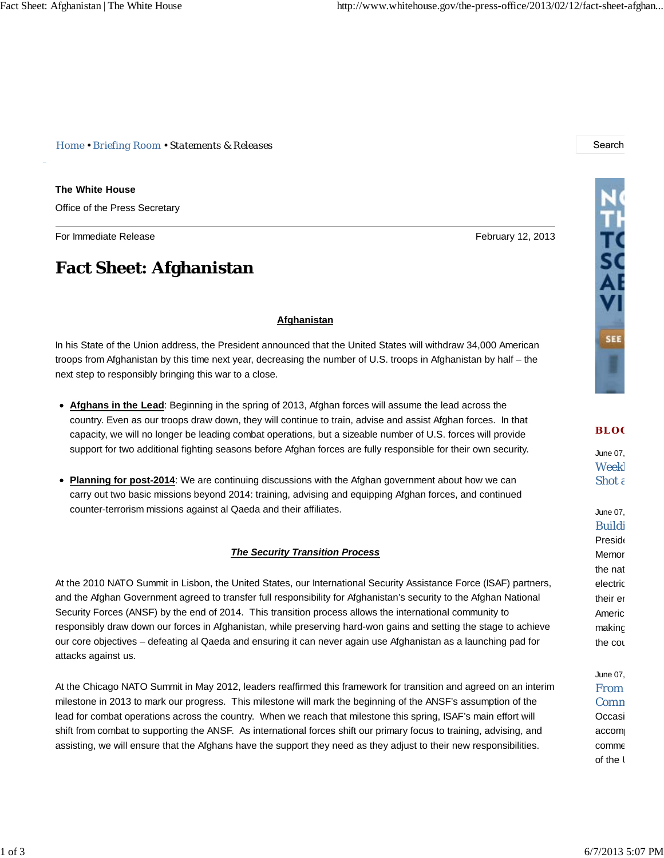*Home • Briefing Room • Statements & Releases* Search

**The White House**

Office of the Press Secretary

For Immediate Release **February 12, 2013 February 12, 2013** 

## **Fact Sheet: Afghanistan**

next step to responsibly bringing this war to a close.

counter-terrorism missions against al Qaeda and their affiliates.

# THE THE SAE SEE I

### **BLO G**

June 07, Weekl Shot a

June 07, Buildi **Preside** Memor the nat electric their en Americ making the cou

## June 07, From Comm Occasi accom comme

of the I

*The Security Transition Process*

**Afghanistan**

In his State of the Union address, the President announced that the United States will withdraw 34,000 American troops from Afghanistan by this time next year, decreasing the number of U.S. troops in Afghanistan by half – the

country. Even as our troops draw down, they will continue to train, advise and assist Afghan forces. In that capacity, we will no longer be leading combat operations, but a sizeable number of U.S. forces will provide support for two additional fighting seasons before Afghan forces are fully responsible for their own security.

**Afghans in the Lead**: Beginning in the spring of 2013, Afghan forces will assume the lead across the

**Planning for post-2014**: We are continuing discussions with the Afghan government about how we can carry out two basic missions beyond 2014: training, advising and equipping Afghan forces, and continued

## At the 2010 NATO Summit in Lisbon, the United States, our International Security Assistance Force (ISAF) partners, and the Afghan Government agreed to transfer full responsibility for Afghanistan's security to the Afghan National Security Forces (ANSF) by the end of 2014. This transition process allows the international community to responsibly draw down our forces in Afghanistan, while preserving hard-won gains and setting the stage to achieve our core objectives – defeating al Qaeda and ensuring it can never again use Afghanistan as a launching pad for attacks against us.

At the Chicago NATO Summit in May 2012, leaders reaffirmed this framework for transition and agreed on an interim milestone in 2013 to mark our progress. This milestone will mark the beginning of the ANSF's assumption of the lead for combat operations across the country. When we reach that milestone this spring, ISAF's main effort will shift from combat to supporting the ANSF. As international forces shift our primary focus to training, advising, and assisting, we will ensure that the Afghans have the support they need as they adjust to their new responsibilities.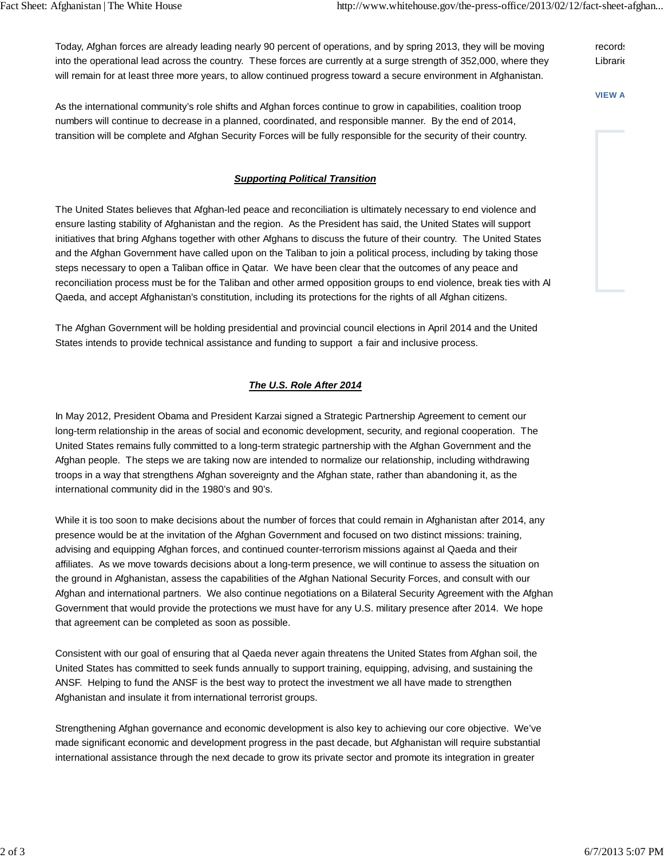Today, Afghan forces are already leading nearly 90 percent of operations, and by spring 2013, they will be moving into the operational lead across the country. These forces are currently at a surge strength of 352,000, where they will remain for at least three more years, to allow continued progress toward a secure environment in Afghanistan.

**VIEW A**

records **Librarie** 

As the international community's role shifts and Afghan forces continue to grow in capabilities, coalition troop numbers will continue to decrease in a planned, coordinated, and responsible manner. By the end of 2014, transition will be complete and Afghan Security Forces will be fully responsible for the security of their country.

## *Supporting Political Transition*

The United States believes that Afghan-led peace and reconciliation is ultimately necessary to end violence and ensure lasting stability of Afghanistan and the region. As the President has said, the United States will support initiatives that bring Afghans together with other Afghans to discuss the future of their country. The United States and the Afghan Government have called upon on the Taliban to join a political process, including by taking those steps necessary to open a Taliban office in Qatar. We have been clear that the outcomes of any peace and reconciliation process must be for the Taliban and other armed opposition groups to end violence, break ties with Al Qaeda, and accept Afghanistan's constitution, including its protections for the rights of all Afghan citizens.

The Afghan Government will be holding presidential and provincial council elections in April 2014 and the United States intends to provide technical assistance and funding to support a fair and inclusive process.

## *The U.S. Role After 2014*

In May 2012, President Obama and President Karzai signed a Strategic Partnership Agreement to cement our long-term relationship in the areas of social and economic development, security, and regional cooperation. The United States remains fully committed to a long-term strategic partnership with the Afghan Government and the Afghan people. The steps we are taking now are intended to normalize our relationship, including withdrawing troops in a way that strengthens Afghan sovereignty and the Afghan state, rather than abandoning it, as the international community did in the 1980's and 90's.

While it is too soon to make decisions about the number of forces that could remain in Afghanistan after 2014, any presence would be at the invitation of the Afghan Government and focused on two distinct missions: training, advising and equipping Afghan forces, and continued counter-terrorism missions against al Qaeda and their affiliates. As we move towards decisions about a long-term presence, we will continue to assess the situation on the ground in Afghanistan, assess the capabilities of the Afghan National Security Forces, and consult with our Afghan and international partners. We also continue negotiations on a Bilateral Security Agreement with the Afghan Government that would provide the protections we must have for any U.S. military presence after 2014. We hope that agreement can be completed as soon as possible.

Consistent with our goal of ensuring that al Qaeda never again threatens the United States from Afghan soil, the United States has committed to seek funds annually to support training, equipping, advising, and sustaining the ANSF. Helping to fund the ANSF is the best way to protect the investment we all have made to strengthen Afghanistan and insulate it from international terrorist groups.

Strengthening Afghan governance and economic development is also key to achieving our core objective. We've made significant economic and development progress in the past decade, but Afghanistan will require substantial international assistance through the next decade to grow its private sector and promote its integration in greater